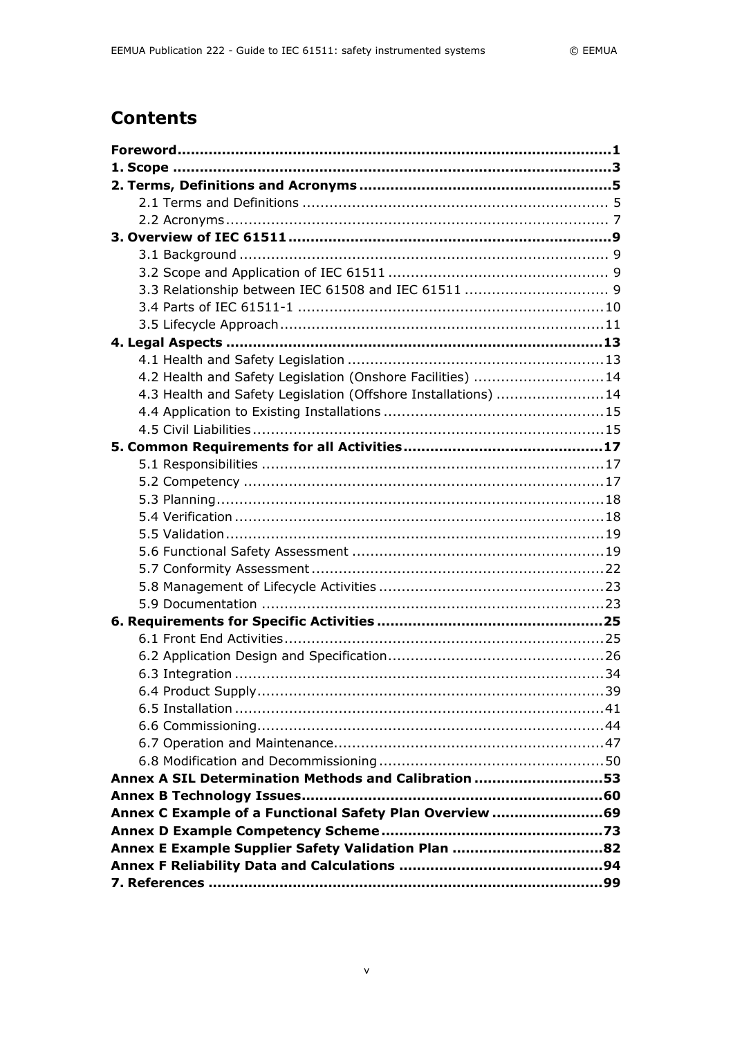## **Contents**

| 4.2 Health and Safety Legislation (Onshore Facilities) 14     |  |
|---------------------------------------------------------------|--|
| 4.3 Health and Safety Legislation (Offshore Installations) 14 |  |
|                                                               |  |
|                                                               |  |
|                                                               |  |
|                                                               |  |
|                                                               |  |
|                                                               |  |
|                                                               |  |
|                                                               |  |
|                                                               |  |
|                                                               |  |
|                                                               |  |
|                                                               |  |
|                                                               |  |
|                                                               |  |
|                                                               |  |
|                                                               |  |
|                                                               |  |
|                                                               |  |
|                                                               |  |
|                                                               |  |
|                                                               |  |
| Annex A SIL Determination Methods and Calibration 53          |  |
|                                                               |  |
| Annex C Example of a Functional Safety Plan Overview 69       |  |
|                                                               |  |
| Annex E Example Supplier Safety Validation Plan 82            |  |
|                                                               |  |
|                                                               |  |